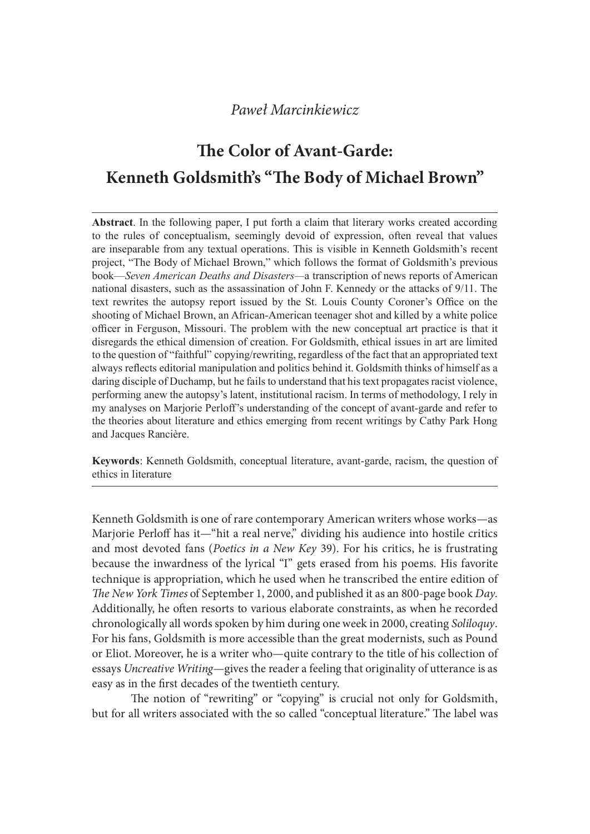# The Color of Avant-Garde: Kenneth Goldsmith's "The Body of Michael Brown"

Abstract. In the following paper, I put forth a claim that literary works created according Pawel Marcinkiewicz<br> **The Color of Avant-Garde:**<br> **Kenneth Goldsmith's "The Body of Michael Brown"**<br>
Abstract. In the following paper, 1 put forth a claim that literary works created according<br>
to the rules of conceptualis are inseparable from any textual operations. This is visible in Kenneth Goldsmith's recent project, "The Body of Michael Brown," which follows the format of Goldsmith's previous book—Seven American Deaths and Disasters—a transcription of news reports of American national disasters, such as the assassination of John F. Kennedy or the attacks of  $9/11$ . The text rewrites the autopsy report issued by the St. Louis County Coroner's Office on the shooting of Michael Brown, an African-American teenager shot and killed by a white police officer in Ferguson, Missouri. The problem with the new conceptual art practice is that it disregards the ethical dimension of creation. For Goldsmith, ethical issues in art are limited to the question of "faithful" copying/rewriting, regardless of the fact that an appropriated text always reflects editorial manipulation and politics behind it. Goldsmith thinks of himself as a daring disciple of Duchamp, but he fails to understand that his text propagates racist violence, performing anew the autopsy's latent, institutional racism. In terms of methodology, I rely in my analyses on Marjorie Perloff's understanding of the concept of avant-garde and refer to the theories about literature and ethics emerging from recent writings by Cathy Park Hong and Jacques Rancière.

Keywords: Kenneth Goldsmith, conceptual literature, avant-garde, racism, the question of ethics in literature

Kenneth Goldsmith is one of rare contemporary American writers whose works—as Marjorie Perloff has it—"hit a real nerve," dividing his audience into hostile critics and most devoted fans (Poetics in a New Key 39). For his critics, he is frustrating because the inwardness of the lyrical "I" gets erased from his poems. His favorite technique is appropriation, which he used when he transcribed the entire edition of The New York Times of September 1, 2000, and published it as an 800-page book Day.<br>Additionally, he often resorts to various elaborate constraints, as when he recorded chronologically all words spoken by him during one week in 2000, creating Soliloquy. For his fans, Goldsmith is more accessible than the great modernists, such as Pound or Eliot. Moreover, he is a writer who—quite contrary to the title of his collection of essays Uncreative Writing—gives the reader a feeling that originality of utterance is as easy as in the first decades of the twentieth century.

The notion of "rewriting" or "copying" is crucial not only for Goldsmith, but for all writers associated with the so called "conceptual literature." The label was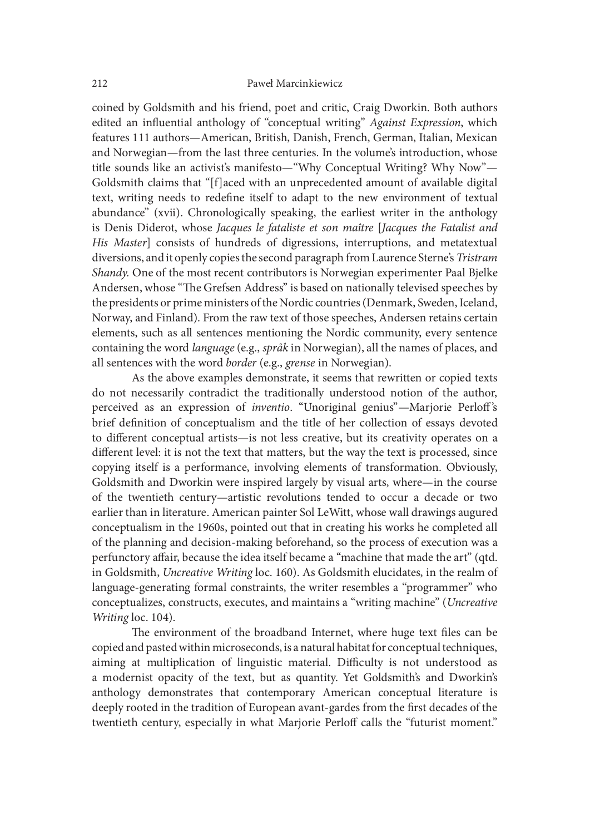coined by Goldsmith and his friend, poet and critic, Craig Dworkin. Both authors edited an influential anthology of "conceptual writing" Against Expression, which features 111 authors—American, British, Danish, French, German, Italian, Mexican and Norwegian—from the last three centuries. In the volume's introduction, whose title sounds like an activist's manifesto—"Why Conceptual Writing? Why Now"— Goldsmith claims that "[f]aced with an unprecedented amount of available digital text, writing needs to redefine itself to adapt to the new environment of textual abundance" (xvii). Chronologically speaking, the earliest writer in the anthology is Denis Diderot, whose Jacques le fataliste et son maître [Jacques the Fatalist and His Master] consists of hundreds of digressions, interruptions, and metatextual diversions, and it openly copies the second paragraph from Laurence Sterne's Tristram Shandy. One of the most recent contributors is Norwegian experimenter Paal Bjelke Andersen, whose "The Grefsen Address" is based on nationally televised speeches by the presidents or prime ministers of the Nordic countries (Denmark, Sweden, Iceland, Norway, and Finland). From the raw text of those speeches, Andersen retains certain elements, such as all sentences mentioning the Nordic community, every sentence containing the word language (e.g., språk in Norwegian), all the names of places, and all sentences with the word border (e.g., grense in Norwegian).

 As the above examples demonstrate, it seems that rewritten or copied texts do not necessarily contradict the traditionally understood notion of the author, perceived as an expression of *inventio*. "Unoriginal genius"—Marjorie Perloff's brief definition of conceptualism and the title of her collection of essays devoted to different conceptual artists—is not less creative, but its creativity operates on a different level: it is not the text that matters, but the way the text is processed, since copying itself is a performance, involving elements of transformation. Obviously, Goldsmith and Dworkin were inspired largely by visual arts, where—in the course of the twentieth century—artistic revolutions tended to occur a decade or two earlier than in literature. American painter Sol LeWitt, whose wall drawings augured conceptualism in the 1960s, pointed out that in creating his works he completed all of the planning and decision-making beforehand, so the process of execution was a perfunctory affair, because the idea itself became a "machine that made the art" (qtd. in Goldsmith, Uncreative Writing loc. 160). As Goldsmith elucidates, in the realm of language-generating formal constraints, the writer resembles a "programmer" who conceptualizes, constructs, executes, and maintains a "writing machine" (Uncreative Writing loc. 104).

The environment of the broadband Internet, where huge text files can be copied and pasted within microseconds, is a natural habitat for conceptual techniques, aiming at multiplication of linguistic material. Difficulty is not understood as a modernist opacity of the text, but as quantity. Yet Goldsmith's and Dworkin's anthology demonstrates that contemporary American conceptual literature is deeply rooted in the tradition of European avant-gardes from the first decades of the twentieth century, especially in what Marjorie Perloff calls the "futurist moment."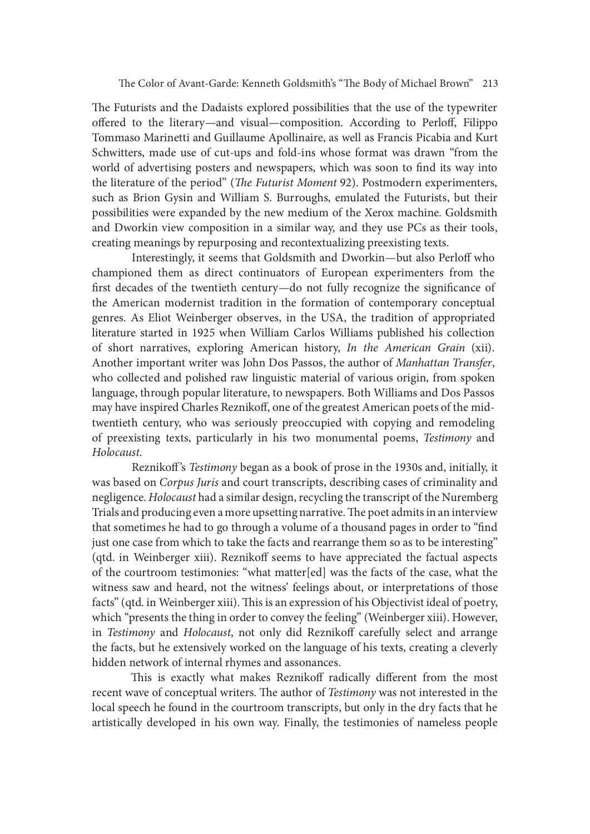The Futurists and the Dadaists explored possibilities that the use of the typewriter offered to the literary—and visual—composition. According to Perloff, Filippo Tommaso Marinetti and Guillaume Apollinaire, as well as Francis Picabia and Kurt Schwitters, made use of cut-ups and fold-ins whose format was drawn "from the world of advertising posters and newspapers, which was soon to find its way into the literature of the period" (The Futurist Moment 92). Postmodern experimenters, such as Brion Gysin and William S. Burroughs, emulated the Futurists, but their possibilities were expanded by the new medium of the Xerox machine. Goldsmith and Dworkin view composition in a similar way, and they use PCs as their tools, creating meanings by repurposing and recontextualizing preexisting texts.

Interestingly, it seems that Goldsmith and Dworkin-but also Perloff who championed them as direct continuators of European experimenters from the first decades of the twentieth century—do not fully recognize the significance of the American modernist tradition in the formation of contemporary conceptual genres. As Eliot Weinberger observes, in the USA, the tradition of appropriated literature started in 1925 when William Carlos Williams published his collection of short narratives, exploring American history, In the American Grain (xii). Another important writer was John Dos Passos, the author of *Manhattan Transfer*, who collected and polished raw linguistic material of various origin, from spoken language, through popular literature, to newspapers. Both Williams and Dos Passos may have inspired Charles Reznikoff, one of the greatest American poets of the midtwentieth century, who was seriously preoccupied with copying and remodeling of preexisting texts, particularly in his two monumental poems, Testimony and Holocaust.

Reznikoff's Testimony began as a book of prose in the 1930s and, initially, it was based on Corpus Juris and court transcripts, describing cases of criminality and negligence. Holocaust had a similar design, recycling the transcript of the Nuremberg Trials and producing even a more upsetting narrative. The poet admits in an interview that sometimes he had to go through a volume of a thousand pages in order to "find" just one case from which to take the facts and rearrange them so as to be interesting" (qtd. in Weinberger xiii). Reznikoff seems to have appreciated the factual aspects of the courtroom testimonies: "what matter[ed] was the facts of the case, what the witness saw and heard, not the witness' feelings about, or interpretations of those facts" (qtd. in Weinberger xiii). This is an expression of his Objectivist ideal of poetry, which "presents the thing in order to convey the feeling" (Weinberger xiii). However, in Testimony and Holocaust, not only did Reznikoff carefully select and arrange the facts, but he extensively worked on the language of his texts, creating a cleverly hidden network of internal rhymes and assonances.

This is exactly what makes Reznikoff radically different from the most recent wave of conceptual writers. The author of Testimony was not interested in the local speech he found in the courtroom transcripts, but only in the dry facts that he artistically developed in his own way. Finally, the testimonies of nameless people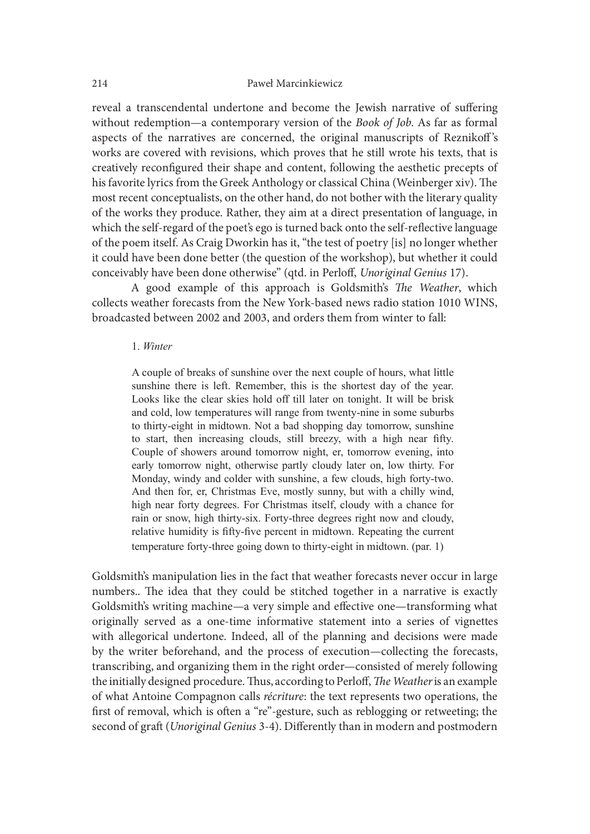reveal a transcendental undertone and become the Jewish narrative of suffering without redemption—a contemporary version of the Book of Job. As far as formal aspects of the narratives are concerned, the original manuscripts of Reznikoff's works are covered with revisions, which proves that he still wrote his texts, that is creatively reconfigured their shape and content, following the aesthetic precepts of his favorite lyrics from the Greek Anthology or classical China (Weinberger xiv). The most recent conceptualists, on the other hand, do not bother with the literary quality of the works they produce. Rather, they aim at a direct presentation of language, in which the self-regard of the poet's ego is turned back onto the self-reflective language of the poem itself. As Craig Dworkin has it, "the test of poetry [is] no longer whether it could have been done better (the question of the workshop), but whether it could conceivably have been done otherwise" (qtd. in Perloff, Unoriginal Genius 17). or an cancerost storestock, the originar manuscures or occurred with revisions, which proves that he still wrote his texts, that is y reconfigured their shape and content, following the aesthetic precepts of erective lyric

A good example of this approach is Goldsmith's The Weather, which collects weather forecasts from the New York-based news radio station 1010 WINS, broadcasted between 2002 and 2003, and orders them from winter to fall:

#### 1 Winter

A couple of breaks of sunshine over the next couple of hours, what little and cold, low temperatures will range from twenty-nine in some suburbs to thirty-eight in midtown. Not a bad shopping day tomorrow, sunshine rent conceptualists, on the other hand, do not bother with the literary quality<br>orks they produce. Rather, they aim at a direct presentation of language, in<br>exelf-regard of the poet's ego is turned back onto the self-refle Couple of showers around tomorrow night, er, tomorrow evening, into is each regard of the poet's ego is turned back onto the self-reflective language<br>oem itself. As Craig Dworkin has it, "the test of poetry [is] no longer whether<br>thave been done better (the question of the workshop), but w Monday, windy and colder with sunshine, a few clouds, high forty-two. And then for, er, Christmas Eve, mostly sunny, but with a chilly wind, high near forty degrees. For Christmas itself, cloudy with a chance for rain or snow, high thirty-six. Forty-three degrees right now and cloudy, relative humidity is fifty-five percent in midtown. Repeating the current temperature forty-three going down to thirty-eight in midtown. (par. 1)

Goldsmith's manipulation lies in the fact that weather forecasts never occur in large numbers.. The idea that they could be stitched together in a narrative is exactly Goldsmith's writing machine—a very simple and effective one—transforming what originally served as a one-time informative statement into a series of vignettes with allegorical undertone. Indeed, all of the planning and decisions were made by the writer beforehand, and the process of execution—collecting the forecasts, transcribing, and organizing them in the right order—consisted of merely following the initially designed procedure. Thus, according to Perloff, The Weather is an example of what Antoine Compagnon calls récriture: the text represents two operations, the first of removal, which is often a "re"-gesture, such as reblogging or retweeting; the second of graft (Unoriginal Genius 3-4). Differently than in modern and postmodern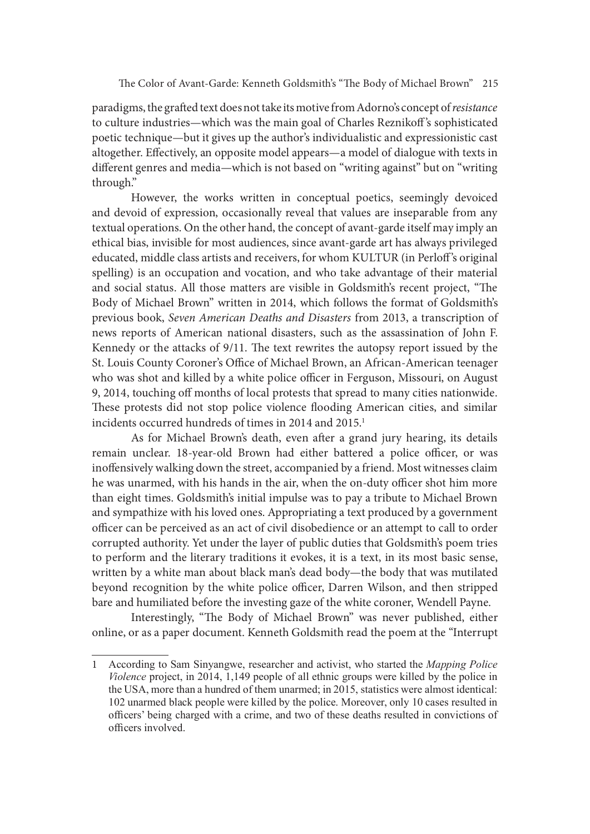paradigms, the grated text does not take its motive from Adorno's concept of resistance to culture industries—which was the main goal of Charles Reznikoff's sophisticated poetic technique—but it gives up the author's individualistic and expressionistic cast altogether. Effectively, an opposite model appears—a model of dialogue with texts in different genres and media—which is not based on "writing against" but on "writing through."

However, the works written in conceptual poetics, seemingly devoiced and devoid of expression, occasionally reveal that values are inseparable from any textual operations. On the other hand, the concept of avant-garde itself may imply an ethical bias, invisible for most audiences, since avant-garde art has always privileged educated, middle class artists and receivers, for whom KULTUR (in Perloff's original spelling) is an occupation and vocation, and who take advantage of their material and social status. All those matters are visible in Goldsmith's recent project, "The Body of Michael Brown" written in 2014, which follows the format of Goldsmith's previous book, Seven American Deaths and Disasters from 2013, a transcription of news reports of American national disasters, such as the assassination of John F. Kennedy or the attacks of  $9/11$ . The text rewrites the autopsy report issued by the St. Louis County Coroner's Office of Michael Brown, an African-American teenager who was shot and killed by a white police officer in Ferguson, Missouri, on August 9, 2014, touching off months of local protests that spread to many cities nationwide. These protests did not stop police violence flooding American cities, and similar incidents occurred hundreds of times in 2014 and 2015.<sup>1</sup>

As for Michael Brown's death, even ater a grand jury hearing, its details remain unclear. 18-year-old Brown had either battered a police officer, or was inoffensively walking down the street, accompanied by a friend. Most witnesses claim he was unarmed, with his hands in the air, when the on-duty officer shot him more than eight times. Goldsmith's initial impulse was to pay a tribute to Michael Brown and sympathize with his loved ones. Appropriating a text produced by a government officer can be perceived as an act of civil disobedience or an attempt to call to order corrupted authority. Yet under the layer of public duties that Goldsmith's poem tries to perform and the literary traditions it evokes, it is a text, in its most basic sense, written by a white man about black man's dead body—the body that was mutilated beyond recognition by the white police officer, Darren Wilson, and then stripped bare and humiliated before the investing gaze of the white coroner, Wendell Payne.

Interestingly, "The Body of Michael Brown" was never published, either online, or as a paper document. Kenneth Goldsmith read the poem at the "Interrupt

<sup>1</sup> According to Sam Sinyangwe, researcher and activist, who started the Mapping Police  $Violence project, in 2014, 1,149 people of all ethnic groups were killed by the police in$ the USA, more than a hundred of them unarmed; in 2015, statistics were almost identical: 102 unarmed black people were killed by the police. Moreover, only 10 cases resulted in officers' being charged with a crime, and two of these deaths resulted in convictions of officers involved.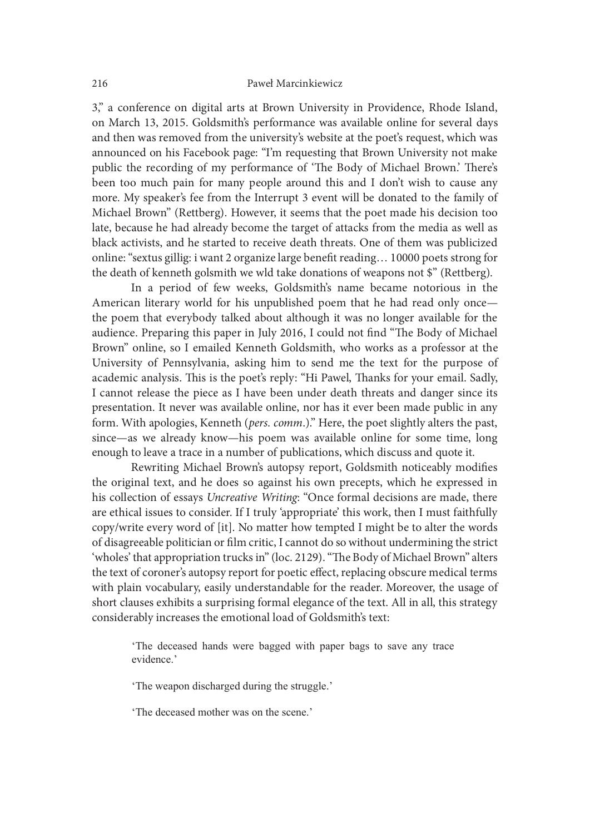3," a conference on digital arts at Brown University in Providence, Rhode Island, on March 13, 2015. Goldsmith's performance was available online for several days and then was removed from the university's website at the poet's request, which was announced on his Facebook page: "I'm requesting that Brown University not make public the recording of my performance of 'The Body of Michael Brown.' There's been too much pain for many people around this and I don't wish to cause any more. My speaker's fee from the Interrupt 3 event will be donated to the family of Michael Brown" (Rettberg). However, it seems that the poet made his decision too late, because he had already become the target of attacks from the media as well as black activists, and he started to receive death threats. One of them was publicized online: "sextus gillig: i want 2 organize large benefit reading... 10000 poets strong for the death of kenneth golsmith we wld take donations of weapons not \$" (Rettberg).

In a period of few weeks, Goldsmith's name became notorious in the American literary world for his unpublished poem that he had read only once the poem that everybody talked about although it was no longer available for the audience. Preparing this paper in July 2016, I could not find "The Body of Michael Brown" online, so I emailed Kenneth Goldsmith, who works as a professor at the University of Pennsylvania, asking him to send me the text for the purpose of academic analysis. This is the poet's reply: "Hi Pawel, Thanks for your email. Sadly, I cannot release the piece as I have been under death threats and danger since its presentation. It never was available online, nor has it ever been made public in any form. With apologies, Kenneth (pers. comm.)." Here, the poet slightly alters the past, since—as we already know—his poem was available online for some time, long enough to leave a trace in a number of publications, which discuss and quote it.

Rewriting Michael Brown's autopsy report, Goldsmith noticeably modifies the original text, and he does so against his own precepts, which he expressed in his collection of essays Uncreative Writing: "Once formal decisions are made, there are ethical issues to consider. If I truly 'appropriate' this work, then I must faithfully copy/write every word of [it]. No matter how tempted I might be to alter the words of disagreeable politician or film critic, I cannot do so without undermining the strict 'wholes' that appropriation trucks in" (loc. 2129). "The Body of Michael Brown" alters the text of coroner's autopsy report for poetic effect, replacing obscure medical terms with plain vocabulary, easily understandable for the reader. Moreover, the usage of short clauses exhibits a surprising formal elegance of the text. All in all, this strategy presentation. It never was available online, nor has it ever been made public in any<br>ofrom. With apologies, Kenneth (*pers. comm.*).<sup>3</sup> Here, the poet slightly alters the past,<br>since—as we already know—his poem was availab

evidence.'

'The weapon discharged during the struggle.'

'The deceased mother was on the scene.'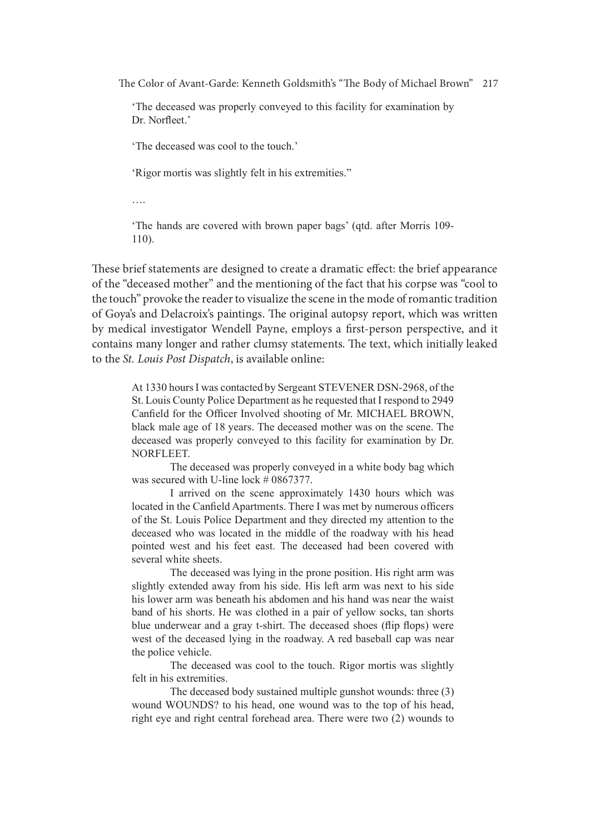'The deceased was properly conveyed to this facility for examination by Dr. Norfleet.'

The deceased was cool to the touch.'

'Rigor mortis was slightly felt in his extremities."

« Maria de la construcción de la construcción de la construcción de la construcción de la construcción de la c<br>Altre de la construcción de la construcción de la construcción de la construcción de la construcción de la con

'The hands are covered with brown paper bags' (qtd. after Morris 109- $110$ ).

These brief statements are designed to create a dramatic effect: the brief appearance of the "deceased mother" and the mentioning of the fact that his corpse was "cool to the touch" provoke the reader to visualize the scene in the mode of romantic tradition of Goya's and Delacroix's paintings. The original autopsy report, which was written by medical investigator Wendell Payne, employs a first-person perspective, and it contains many longer and rather clumsy statements. The text, which initially leaked to the St. Louis Post Dispatch, is available online:

At 1330 hoursI was contacted by Sergeant STEVENER DSN-2968, of the St. Louis County Police Department as he requested that I respond to 2949 Canfield for the Officer Involved shooting of Mr. MICHAEL BROWN, black male age of 18 years. The deceased mother was on the scene. The deceased was properly conveyed to this facility for examination by Dr. NORFLEET. 1 provies the reader to visating the secence in the motor of notination trational and Delacroix's paintings. The original antopsy prort, which instally leaked cal investigator Wendell Payne, employs a first-person perspect

The deceased was properly conveyed in a white body bag which was secured with U-line lock # 0867377.

I arrived on the scene approximately 1430 hours which was located in the Canfield Apartments. There I was met by numerous officers of the St. Louis Police Department and they directed my attention to the deceased who was located in the middle of the roadway with his head several white sheets.

The deceased was lying in the prone position. His right arm was slightly extended away from his side. His left arm was next to his side his lower arm was beneath his abdomen and his hand was near the waist band of his shorts. He was clothed in a pair of yellow socks, tan shorts blue underwear and a gray t-shirt. The deceased shoes (flip flops) were west of the deceased lying in the roadway. A red baseball cap was near black male age of 18 years. The deceased mother was on the scene. The deceased was properly conveyed to this facility for examination by Dr.<br>NORFLEET. The deceased was properly conveyed in a white body bag which was scenee

felt in his extremities.

The deceased body sustained multiple gunshot wounds: three (3) wound WOUNDS? to his head, one wound was to the top of his head, right eye and right central forehead area. There were two (2) wounds to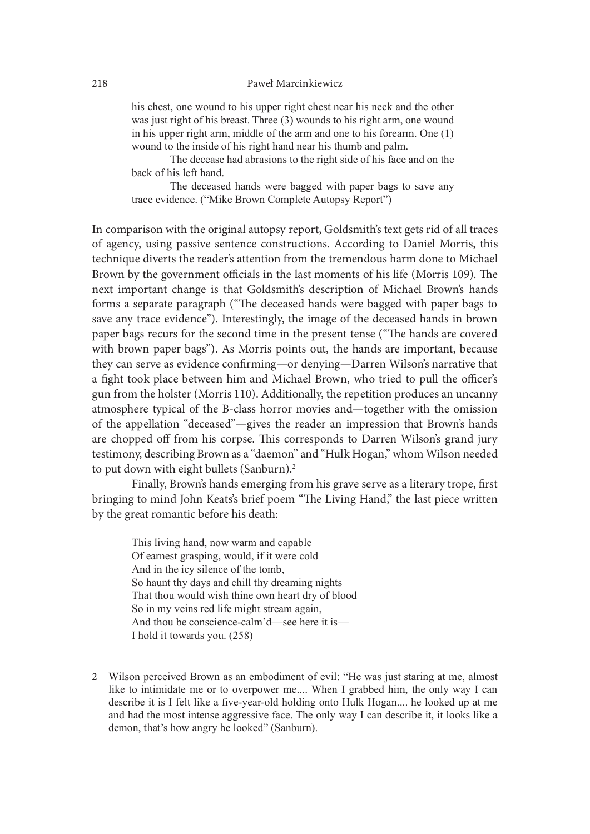his chest, one wound to his upper right chest near his neck and the other was just right of his breast. Three (3) wounds to his right arm, one wound in his upper right arm, middle of the arm and one to his forearm. One  $(1)$ wound to the inside of his right hand near his thumb and palm. Pawel Marcinkiewicz<br>
7. one wound to his upper right chest near his neck and the other<br>
right of his breast. Three (3) wounds to his right arm, one wound<br>
per right arm, middle of the arm and one to his forearm. One (1)<br>
1

The decease had abrasions to the right side of his face and on the back of his left hand.

trace evidence. ("Mike Brown Complete Autopsy Report")

In comparison with the original autopsy report, Goldsmith's text gets rid of all traces of agency, using passive sentence constructions. According to Daniel Morris, this technique diverts the reader's attention from the tremendous harm done to Michael Brown by the government officials in the last moments of his life (Morris 109). The next important change is that Goldsmith's description of Michael Brown's hands forms a separate paragraph ("The deceased hands were bagged with paper bags to save any trace evidence"). Interestingly, the image of the deceased hands in brown paper bags recurs for the second time in the present tense ("The hands are covered with brown paper bags"). As Morris points out, the hands are important, because they can serve as evidence confirming—or denying—Darren Wilson's narrative that a fight took place between him and Michael Brown, who tried to pull the officer's gun from the holster (Morris 110). Additionally, the repetition produces an uncanny atmosphere typical of the B-class horror movies and—together with the omission of the appellation "deceased"—gives the reader an impression that Brown's hands are chopped off from his corpse. This corresponds to Darren Wilson's grand jury testimony, describing Brown as a "daemon" and "Hulk Hogan," whom Wilson needed to put down with eight bullets (Sanburn).<sup>2</sup>

Finally, Brown's hands emerging from his grave serve as a literary trope, first bringing to mind John Keats's brief poem "The Living Hand," the last piece written by the great romantic before his death:

This living hand, now warm and capable Of earnest grasping, would, if it were cold And in the icy silence of the tomb, So haunt thy days and chill thy dreaming nights That thou would wish thine own heart dry of blood So in my veins red life might stream again, And thou be conscience-calm'd—see here it is— I hold it towards you. (258)

<sup>2</sup> Wilson perceived Brown as an embodiment of evil: "He was just staring at me, almost like to intimidate me or to overpower me.... When I grabbed him, the only way I can describe it is I felt like a five-year-old holding onto Hulk Hogan.... he looked up at me and had the most intense aggressive face. The only way I can describe it, it looks like a demon, that's how angry he looked" (Sanburn).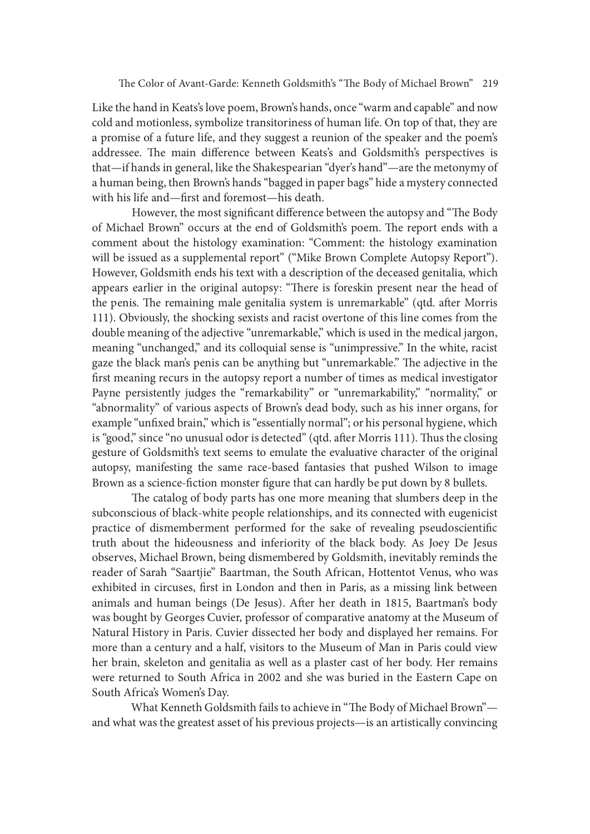Like the hand in Keats's love poem, Brown's hands, once "warm and capable" and now cold and motionless, symbolize transitoriness of human life. On top of that, they are a promise of a future life, and they suggest a reunion of the speaker and the poem's addressee. The main difference between Keats's and Goldsmith's perspectives is that—if hands in general, like the Shakespearian "dyer's hand"—are the metonymy of a human being, then Brown's hands "bagged in paper bags" hide a mystery connected with his life and—first and foremost—his death.

However, the most significant difference between the autopsy and "The Body of Michael Brown" occurs at the end of Goldsmith's poem. The report ends with a comment about the histology examination: "Comment: the histology examination will be issued as a supplemental report" ("Mike Brown Complete Autopsy Report"). However, Goldsmith ends his text with a description of the deceased genitalia, which appears earlier in the original autopsy: "There is foreskin present near the head of the penis. The remaining male genitalia system is unremarkable" (qtd. after Morris 111). Obviously, the shocking sexists and racist overtone of this line comes from the double meaning of the adjective "unremarkable," which is used in the medical jargon, meaning "unchanged," and its colloquial sense is "unimpressive." In the white, racist gaze the black man's penis can be anything but "unremarkable." The adjective in the first meaning recurs in the autopsy report a number of times as medical investigator Payne persistently judges the "remarkability" or "unremarkability," "normality," or "abnormality" of various aspects of Brown's dead body, such as his inner organs, for example "unfixed brain," which is "essentially normal"; or his personal hygiene, which is "good," since "no unusual odor is detected" (qtd. after Morris 111). Thus the closing gesture of Goldsmith's text seems to emulate the evaluative character of the original autopsy, manifesting the same race-based fantasies that pushed Wilson to image Brown as a science-fiction monster figure that can hardly be put down by 8 bullets.

The catalog of body parts has one more meaning that slumbers deep in the subconscious of black-white people relationships, and its connected with eugenicist practice of dismemberment performed for the sake of revealing pseudoscientific truth about the hideousness and inferiority of the black body. As Joey De Jesus observes, Michael Brown, being dismembered by Goldsmith, inevitably reminds the reader of Sarah "Saartjie" Baartman, the South African, Hottentot Venus, who was exhibited in circuses, first in London and then in Paris, as a missing link between animals and human beings (De Jesus). Ater her death in 1815, Baartman's body was bought by Georges Cuvier, professor of comparative anatomy at the Museum of Natural History in Paris. Cuvier dissected her body and displayed her remains. For more than a century and a half, visitors to the Museum of Man in Paris could view her brain, skeleton and genitalia as well as a plaster cast of her body. Her remains were returned to South Africa in 2002 and she was buried in the Eastern Cape on South Africa's Women's Day.

What Kenneth Goldsmith fails to achieve in "The Body of Michael Brown"and what was the greatest asset of his previous projects—is an artistically convincing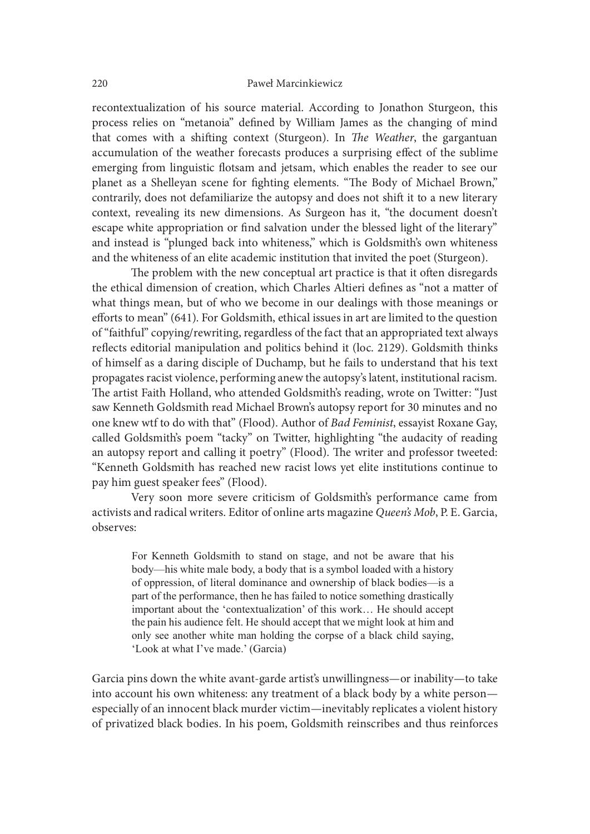recontextualization of his source material. According to Jonathon Sturgeon, this process relies on "metanoia" defined by William James as the changing of mind that comes with a shifting context (Sturgeon). In The Weather, the gargantuan accumulation of the weather forecasts produces a surprising effect of the sublime emerging from linguistic flotsam and jetsam, which enables the reader to see our planet as a Shelleyan scene for fighting elements. "The Body of Michael Brown," contrarily, does not defamiliarize the autopsy and does not shit it to a new literary context, revealing its new dimensions. As Surgeon has it, "the document doesn't escape white appropriation or find salvation under the blessed light of the literary" and instead is "plunged back into whiteness," which is Goldsmith's own whiteness and the whiteness of an elite academic institution that invited the poet (Sturgeon).

The problem with the new conceptual art practice is that it often disregards the ethical dimension of creation, which Charles Altieri defines as "not a matter of what things mean, but of who we become in our dealings with those meanings or efforts to mean" (641). For Goldsmith, ethical issues in art are limited to the question of "faithful" copying/rewriting, regardless of the fact that an appropriated text always reflects editorial manipulation and politics behind it (loc. 2129). Goldsmith thinks of himself as a daring disciple of Duchamp, but he fails to understand that his text propagates racist violence, performing anew the autopsy's latent, institutional racism. The artist Faith Holland, who attended Goldsmith's reading, wrote on Twitter: "Just saw Kenneth Goldsmith read Michael Brown's autopsy report for 30 minutes and no one knew wtf to do with that" (Flood). Author of Bad Feminist, essayist Roxane Gay, called Goldsmith's poem "tacky" on Twitter, highlighting "the audacity of reading an autopsy report and calling it poetry" (Flood). The writer and professor tweeted: "Kenneth Goldsmith has reached new racist lows yet elite institutions continue to pay him guest speaker fees" (Flood).

Very soon more severe criticism of Goldsmith's performance came from activists and radical writers. Editor of online arts magazine Queen's Mob, P. E. Garcia, observes:

For Kenneth Goldsmith to stand on stage, and not be aware that his body—his white male body, a body that is a symbol loaded with a history of oppression, of literal dominance and ownership of black bodies—is a part of the performance, then he has failed to notice something drastically important about the 'contextualization' of this work... He should accept the pain his audience felt. He should accept that we might look at him and only see another white man holding the corpse of a black child saying. 'Look at what I've made.' (Garcia)

Garcia pins down the white avant-garde artist's unwillingness—or inability—to take into account his own whiteness: any treatment of a black body by a white person especially of an innocent black murder victim—inevitably replicates a violent history of privatized black bodies. In his poem, Goldsmith reinscribes and thus reinforces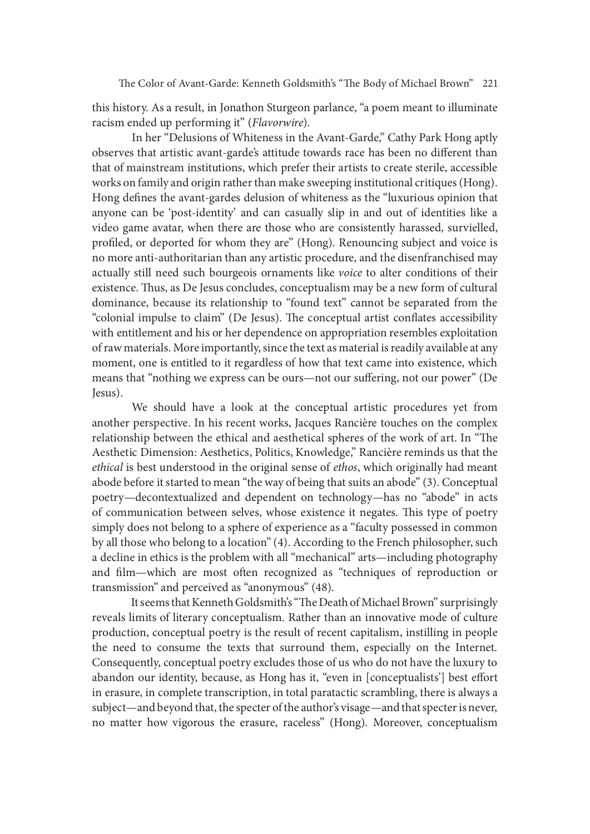this history. As a result, in Jonathon Sturgeon parlance, "a poem meant to illuminate racism ended up performing it" (Flavorwire).

 In her "Delusions of Whiteness in the Avant-Garde," Cathy Park Hong aptly observes that artistic avant-garde's attitude towards race has been no different than that of mainstream institutions, which prefer their artists to create sterile, accessible works on family and origin rather than make sweeping institutional critiques (Hong). Hong defines the avant-gardes delusion of whiteness as the "luxurious opinion that anyone can be 'post-identity' and can casually slip in and out of identities like a video game avatar, when there are those who are consistently harassed, survielled, profiled, or deported for whom they are" (Hong). Renouncing subject and voice is no more anti-authoritarian than any artistic procedure, and the disenfranchised may actually still need such bourgeois ornaments like voice to alter conditions of their existence. Thus, as De Jesus concludes, conceptualism may be a new form of cultural dominance, because its relationship to "found text" cannot be separated from the "colonial impulse to claim" (De Jesus). The conceptual artist conflates accessibility with entitlement and his or her dependence on appropriation resembles exploitation of raw materials. More importantly, since the text as material is readily available at any moment, one is entitled to it regardless of how that text came into existence, which means that "nothing we express can be ours—not our suffering, not our power" (De Jesus).

 We should have a look at the conceptual artistic procedures yet from another perspective. In his recent works, Jacques Rancière touches on the complex relationship between the ethical and aesthetical spheres of the work of art. In "The Aesthetic Dimension: Aesthetics, Politics, Knowledge," Rancière reminds us that the ethical is best understood in the original sense of ethos, which originally had meant abode before it started to mean "the way of being that suits an abode" (3). Conceptual poetry—decontextualized and dependent on technology—has no "abode" in acts of communication between selves, whose existence it negates. This type of poetry simply does not belong to a sphere of experience as a "faculty possessed in common by all those who belong to a location" (4). According to the French philosopher, such a decline in ethics is the problem with all "mechanical" arts—including photography and film—which are most often recognized as "techniques of reproduction or transmission" and perceived as "anonymous" (48).

It seems that Kenneth Goldsmith's "The Death of Michael Brown" surprisingly reveals limits of literary conceptualism. Rather than an innovative mode of culture production, conceptual poetry is the result of recent capitalism, instilling in people the need to consume the texts that surround them, especially on the Internet. Consequently, conceptual poetry excludes those of us who do not have the luxury to abandon our identity, because, as Hong has it, "even in [conceptualists'] best effort in erasure, in complete transcription, in total paratactic scrambling, there is always a subject—and beyond that, the specter of the author's visage—and that specter is never, no matter how vigorous the erasure, raceless" (Hong). Moreover, conceptualism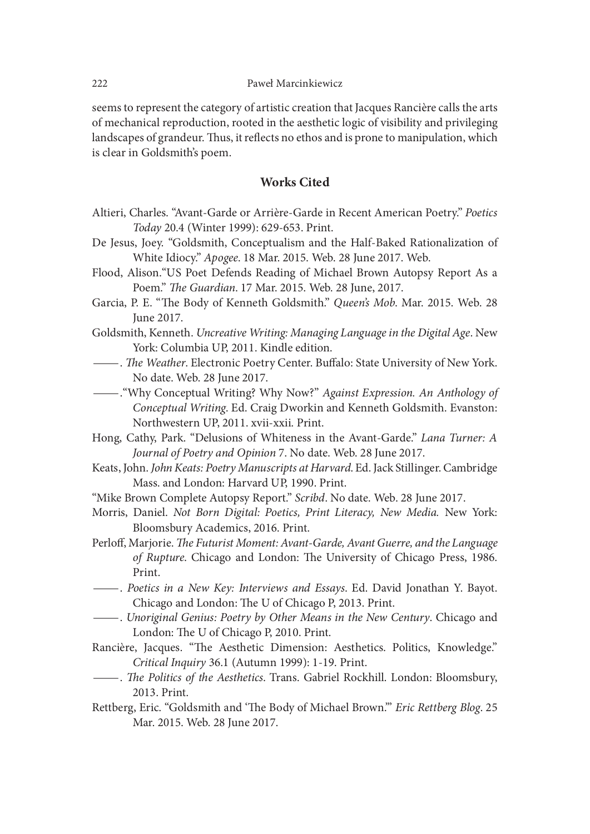seems to represent the category of artistic creation that Jacques Rancière calls the arts of mechanical reproduction, rooted in the aesthetic logic of visibility and privileging landscapes of grandeur. Thus, it reflects no ethos and is prone to manipulation, which is clear in Goldsmith's poem.

### Works Cited

- Altieri, Charles. "Avant-Garde or Arrière-Garde in Recent American Poetry." Poetics Today 20.4 (Winter 1999): 629-653. Print.
- De Jesus, Joey. "Goldsmith, Conceptualism and the Half-Baked Rationalization of White Idiocy." Apogee. 18 Mar. 2015. Web. 28 June 2017. Web.
- Flood, Alison."US Poet Defends Reading of Michael Brown Autopsy Report As a Poem." The Guardian. 17 Mar. 2015. Web. 28 June, 2017.
- Garcia, P. E. "The Body of Kenneth Goldsmith." Queen's Mob. Mar. 2015. Web. 28 June 2017.
- Goldsmith, Kenneth. Uncreative Writing: Managing Language in the Digital Age. New
- York: Columbia UP, 2011. Kindle edition. —. ae Weather. Electronic Poetry Center. Buwalo: State University of New York.
- . "Why Conceptual Writing? Why Now?" Against Expression. An Anthology of Conceptual Writing. Ed. Craig Dworkin and Kenneth Goldsmith. Evanston: Northwestern UP, 2011. xvii-xxii. Print.
- Hong, Cathy, Park. "Delusions of Whiteness in the Avant-Garde." Lana Turner: A Journal of Poetry and Opinion 7. No date. Web. 28 June 2017.
- Keats, John. John Keats: Poetry Manuscripts at Harvard. Ed. Jack Stillinger. Cambridge Mass. and London: Harvard UP, 1990. Print.
- "Mike Brown Complete Autopsy Report." Scribd. No date. Web. 28 June 2017.
- Morris, Daniel. Not Born Digital: Poetics, Print Literacy, New Media. New York: Bloomsbury Academics, 2016. Print.
- Perloff, Marjorie. The Futurist Moment: Avant-Garde, Avant Guerre, and the Language of Rupture. Chicago and London: The University of Chicago Press, 1986.
- Print. —. Poetics in a New Key: Interviews and Essays. Ed. David Jonathan Y. Bayot.
- —. Unoriginal Genius: Poetry by Other Means in the New Century. Chicago and London: The U of Chicago P, 2010. Print.
- Rancière, Jacques. "The Aesthetic Dimension: Aesthetics. Politics, Knowledge." Critical Inquiry 36.1 (Autumn 1999): 1-19. Print. —. ae Politics of the Aesthetics. Trans. Gabriel Rockhill. London: Bloomsbury,
- 2013. Print.
- Rettberg, Eric. "Goldsmith and 'The Body of Michael Brown." Eric Rettberg Blog. 25 Mar. 2015. Web. 28 June 2017.